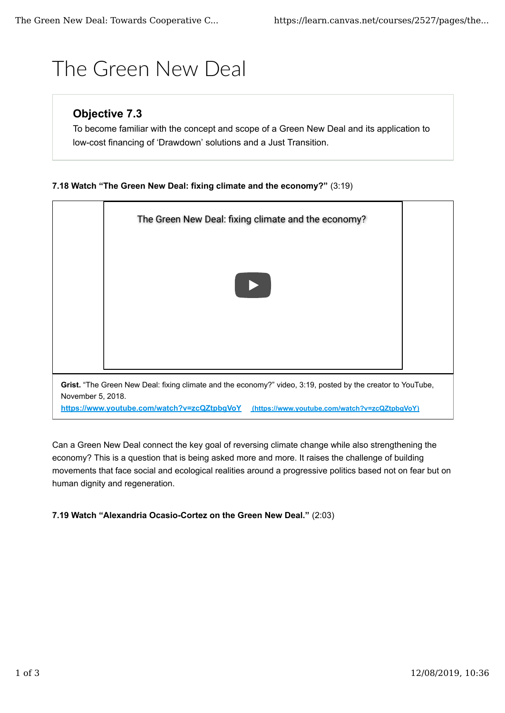# The Green New Deal

## **Objective 7.3**

To become familiar with the concept and scope of a Green New Deal and its application to low-cost financing of 'Drawdown' solutions and a Just Transition.

### **7.18 Watch "The Green New Deal: fixing climate and the economy?"** (3:19)

|                                                                                                                                                                                                                               | The Green New Deal: fixing climate and the economy? |  |
|-------------------------------------------------------------------------------------------------------------------------------------------------------------------------------------------------------------------------------|-----------------------------------------------------|--|
|                                                                                                                                                                                                                               |                                                     |  |
|                                                                                                                                                                                                                               |                                                     |  |
|                                                                                                                                                                                                                               |                                                     |  |
|                                                                                                                                                                                                                               |                                                     |  |
| Grist. "The Green New Deal: fixing climate and the economy?" video, 3:19, posted by the creator to YouTube,<br>November 5, 2018.<br>https://www.youtube.com/watch?v=zcQZtpbgVoY (https://www.youtube.com/watch?v=zcQZtpbgVoY) |                                                     |  |

Can a Green New Deal connect the key goal of reversing climate change while also strengthening the economy? This is a question that is being asked more and more. It raises the challenge of building movements that face social and ecological realities around a progressive politics based not on fear but on human dignity and regeneration.

#### **7.19 Watch "Alexandria Ocasio-Cortez on the Green New Deal."** (2:03)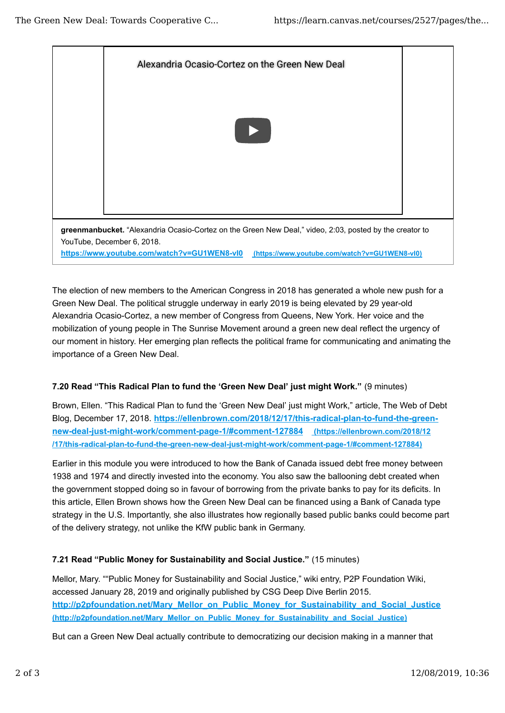

The election of new members to the American Congress in 2018 has generated a whole new push for a Green New Deal. The political struggle underway in early 2019 is being elevated by 29 year-old Alexandria Ocasio-Cortez, a new member of Congress from Queens, New York. Her voice and the mobilization of young people in The Sunrise Movement around a green new deal reflect the urgency of our moment in history. Her emerging plan reflects the political frame for communicating and animating the importance of a Green New Deal.

#### **7.20 Read "This Radical Plan to fund the 'Green New Deal' just might Work."** (9 minutes)

Brown, Ellen. "This Radical Plan to fund the 'Green New Deal' just might Work," article, The Web of Debt Blog, December 17, 2018. **https://ellenbrown.com/2018/12/17/this-radical-plan-to-fund-the-greennew-deal-just-might-work/comment-page-1/#comment-127884 (https://ellenbrown.com/2018/12 /17/this-radical-plan-to-fund-the-green-new-deal-just-might-work/comment-page-1/#comment-127884)**

Earlier in this module you were introduced to how the Bank of Canada issued debt free money between 1938 and 1974 and directly invested into the economy. You also saw the ballooning debt created when the government stopped doing so in favour of borrowing from the private banks to pay for its deficits. In this article, Ellen Brown shows how the Green New Deal can be financed using a Bank of Canada type strategy in the U.S. Importantly, she also illustrates how regionally based public banks could become part of the delivery strategy, not unlike the KfW public bank in Germany.

#### **7.21 Read "Public Money for Sustainability and Social Justice."** (15 minutes)

Mellor, Mary. ""Public Money for Sustainability and Social Justice," wiki entry, P2P Foundation Wiki, accessed January 28, 2019 and originally published by CSG Deep Dive Berlin 2015. **http://p2pfoundation.net/Mary\_Mellor\_on\_Public\_Money\_for\_Sustainability\_and\_Social\_Justice (http://p2pfoundation.net/Mary\_Mellor\_on\_Public\_Money\_for\_Sustainability\_and\_Social\_Justice)**

But can a Green New Deal actually contribute to democratizing our decision making in a manner that